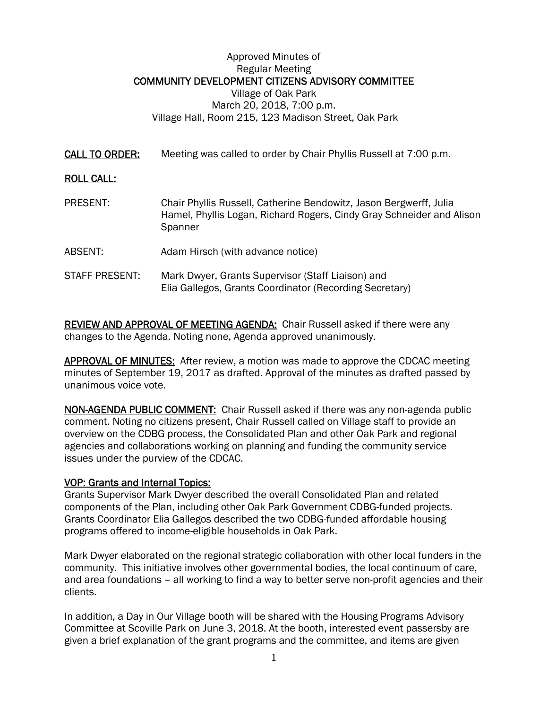## Approved Minutes of Regular Meeting COMMUNITY DEVELOPMENT CITIZENS ADVISORY COMMITTEE Village of Oak Park March 20, 2018, 7:00 p.m. Village Hall, Room 215, 123 Madison Street, Oak Park

CALL TO ORDER: Meeting was called to order by Chair Phyllis Russell at 7:00 p.m.

## ROLL CALL:

- PRESENT: Chair Phyllis Russell, Catherine Bendowitz, Jason Bergwerff, Julia Hamel, Phyllis Logan, Richard Rogers, Cindy Gray Schneider and Alison **Spanner**
- ABSENT: Adam Hirsch (with advance notice)
- STAFF PRESENT: Mark Dwyer, Grants Supervisor (Staff Liaison) and Elia Gallegos, Grants Coordinator (Recording Secretary)

REVIEW AND APPROVAL OF MEETING AGENDA: Chair Russell asked if there were any changes to the Agenda. Noting none, Agenda approved unanimously.

**APPROVAL OF MINUTES:** After review, a motion was made to approve the CDCAC meeting minutes of September 19, 2017 as drafted. Approval of the minutes as drafted passed by unanimous voice vote.

NON-AGENDA PUBLIC COMMENT: Chair Russell asked if there was any non-agenda public comment. Noting no citizens present, Chair Russell called on Village staff to provide an overview on the CDBG process, the Consolidated Plan and other Oak Park and regional agencies and collaborations working on planning and funding the community service issues under the purview of the CDCAC.

## VOP: Grants and Internal Topics:

Grants Supervisor Mark Dwyer described the overall Consolidated Plan and related components of the Plan, including other Oak Park Government CDBG-funded projects. Grants Coordinator Elia Gallegos described the two CDBG-funded affordable housing programs offered to income-eligible households in Oak Park.

Mark Dwyer elaborated on the regional strategic collaboration with other local funders in the community. This initiative involves other governmental bodies, the local continuum of care, and area foundations – all working to find a way to better serve non-profit agencies and their clients.

In addition, a Day in Our Village booth will be shared with the Housing Programs Advisory Committee at Scoville Park on June 3, 2018. At the booth, interested event passersby are given a brief explanation of the grant programs and the committee, and items are given